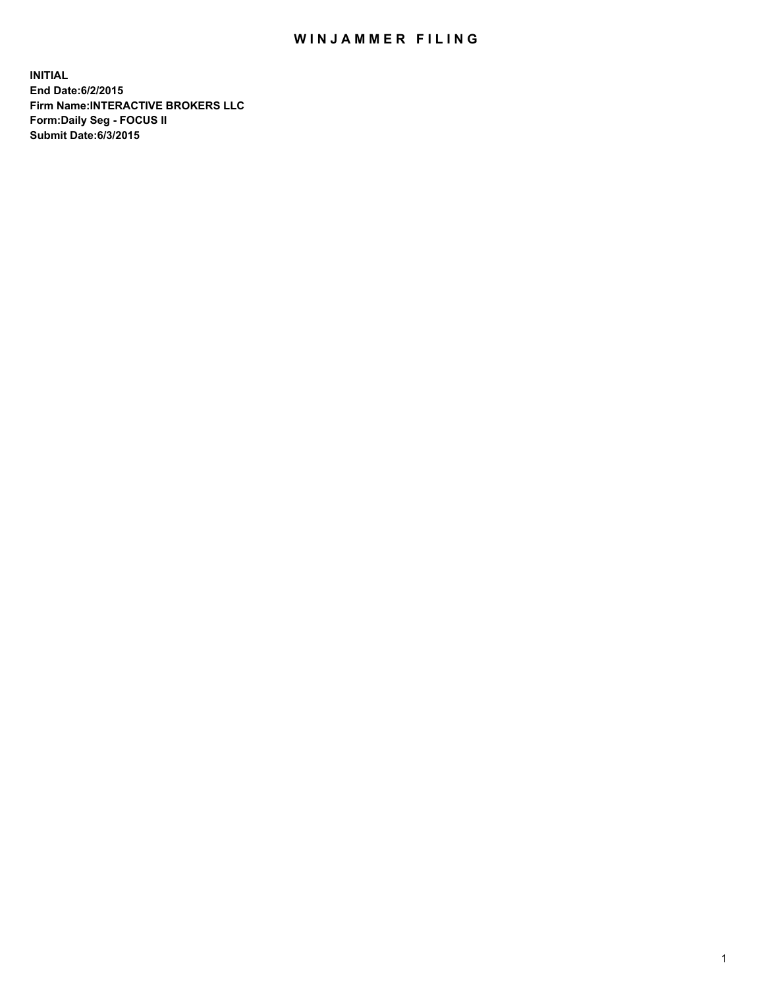## WIN JAMMER FILING

**INITIAL End Date:6/2/2015 Firm Name:INTERACTIVE BROKERS LLC Form:Daily Seg - FOCUS II Submit Date:6/3/2015**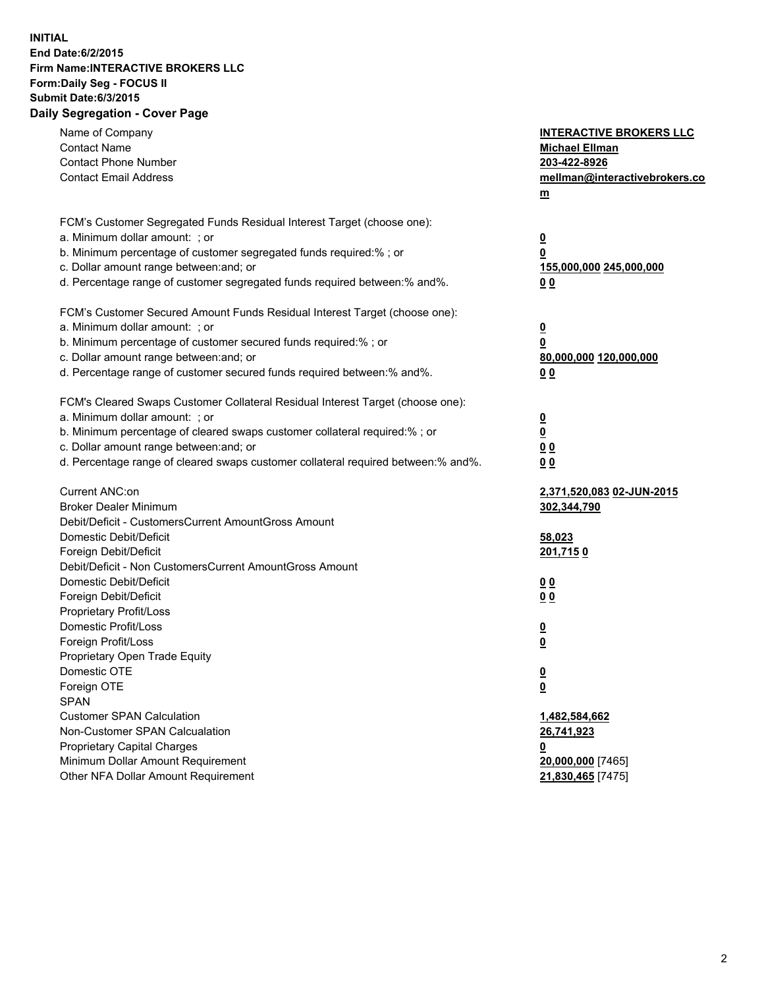## **INITIAL End Date:6/2/2015 Firm Name:INTERACTIVE BROKERS LLC Form:Daily Seg - FOCUS II Submit Date:6/3/2015 Daily Segregation - Cover Page**

| Name of Company                                                                   | <b>INTERACTIVE BROKERS LLC</b>                     |
|-----------------------------------------------------------------------------------|----------------------------------------------------|
| <b>Contact Name</b>                                                               | <b>Michael Ellman</b>                              |
| <b>Contact Phone Number</b>                                                       | 203-422-8926                                       |
| <b>Contact Email Address</b>                                                      | mellman@interactivebrokers.co                      |
|                                                                                   | $\underline{\mathbf{m}}$                           |
| FCM's Customer Segregated Funds Residual Interest Target (choose one):            |                                                    |
| a. Minimum dollar amount: ; or                                                    | $\overline{\mathbf{0}}$                            |
| b. Minimum percentage of customer segregated funds required:% ; or                | 0                                                  |
| c. Dollar amount range between: and; or                                           | 155,000,000 245,000,000                            |
| d. Percentage range of customer segregated funds required between:% and%.         | 00                                                 |
| FCM's Customer Secured Amount Funds Residual Interest Target (choose one):        |                                                    |
| a. Minimum dollar amount: ; or                                                    | $\overline{\mathbf{0}}$                            |
| b. Minimum percentage of customer secured funds required:% ; or                   | 0                                                  |
| c. Dollar amount range between: and; or                                           | 80,000,000 120,000,000                             |
| d. Percentage range of customer secured funds required between:% and%.            | 00                                                 |
| FCM's Cleared Swaps Customer Collateral Residual Interest Target (choose one):    |                                                    |
| a. Minimum dollar amount: ; or                                                    |                                                    |
| b. Minimum percentage of cleared swaps customer collateral required:% ; or        | $\overline{\mathbf{0}}$<br>$\overline{\mathbf{0}}$ |
| c. Dollar amount range between: and; or                                           | 0 <sub>0</sub>                                     |
| d. Percentage range of cleared swaps customer collateral required between:% and%. | 0 <sub>0</sub>                                     |
|                                                                                   |                                                    |
| Current ANC:on                                                                    | 2,371,520,083 02-JUN-2015                          |
| <b>Broker Dealer Minimum</b>                                                      | 302,344,790                                        |
| Debit/Deficit - CustomersCurrent AmountGross Amount                               |                                                    |
| Domestic Debit/Deficit                                                            | 58,023                                             |
| Foreign Debit/Deficit                                                             | 201,7150                                           |
| Debit/Deficit - Non CustomersCurrent AmountGross Amount                           |                                                    |
| Domestic Debit/Deficit                                                            | 0 <sub>0</sub>                                     |
| Foreign Debit/Deficit                                                             | 0 <sub>0</sub>                                     |
| Proprietary Profit/Loss                                                           |                                                    |
| Domestic Profit/Loss                                                              | $\overline{\mathbf{0}}$                            |
| Foreign Profit/Loss                                                               | $\underline{\mathbf{0}}$                           |
| Proprietary Open Trade Equity                                                     |                                                    |
| Domestic OTE                                                                      | <u>0</u>                                           |
| Foreign OTE                                                                       | <u>0</u>                                           |
| <b>SPAN</b>                                                                       |                                                    |
| <b>Customer SPAN Calculation</b>                                                  | 1,482,584,662                                      |
| Non-Customer SPAN Calcualation                                                    | 26,741,923                                         |
| Proprietary Capital Charges                                                       | <u>0</u>                                           |
| Minimum Dollar Amount Requirement                                                 | 20,000,000 [7465]                                  |
| Other NFA Dollar Amount Requirement                                               | 21,830,465 [7475]                                  |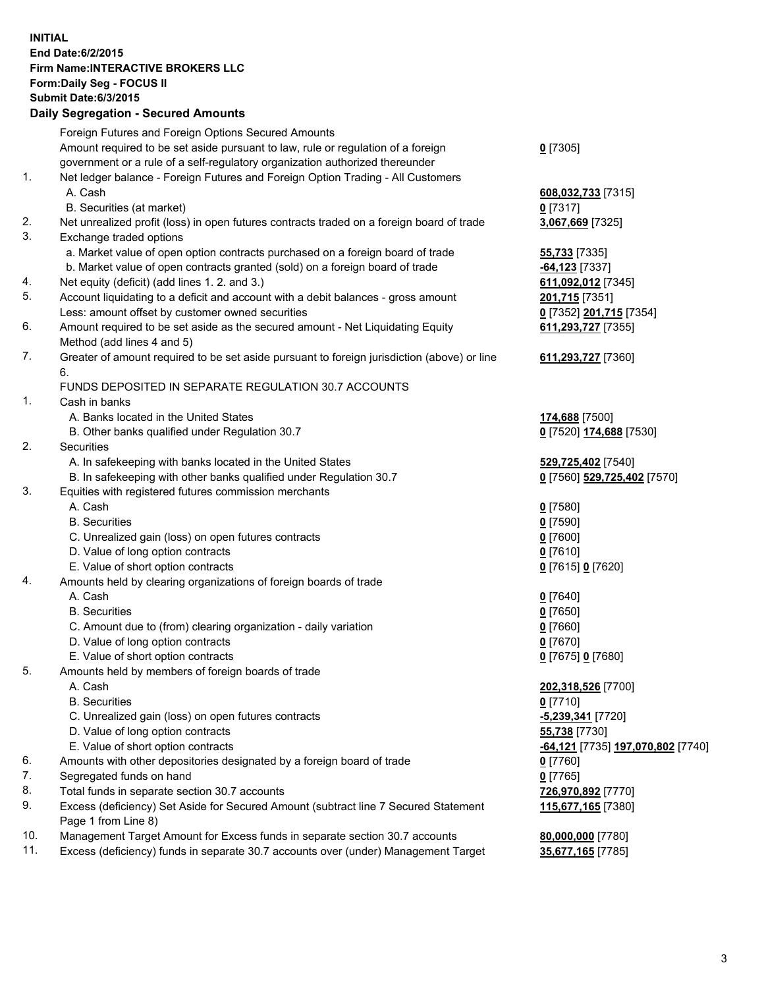## **INITIAL End Date:6/2/2015 Firm Name:INTERACTIVE BROKERS LLC Form:Daily Seg - FOCUS II Submit Date:6/3/2015 Daily Segregation - Secured Amounts**

|     | Foreign Futures and Foreign Options Secured Amounts                                         |                                   |
|-----|---------------------------------------------------------------------------------------------|-----------------------------------|
|     | Amount required to be set aside pursuant to law, rule or regulation of a foreign            | $0$ [7305]                        |
|     | government or a rule of a self-regulatory organization authorized thereunder                |                                   |
| 1.  | Net ledger balance - Foreign Futures and Foreign Option Trading - All Customers             |                                   |
|     | A. Cash                                                                                     | 608,032,733 [7315]                |
|     | B. Securities (at market)                                                                   | $0$ [7317]                        |
| 2.  | Net unrealized profit (loss) in open futures contracts traded on a foreign board of trade   | 3,067,669 [7325]                  |
| 3.  | Exchange traded options                                                                     |                                   |
|     | a. Market value of open option contracts purchased on a foreign board of trade              | 55,733 [7335]                     |
|     | b. Market value of open contracts granted (sold) on a foreign board of trade                | <b>-64,123</b> [7337]             |
| 4.  | Net equity (deficit) (add lines 1. 2. and 3.)                                               | 611,092,012 [7345]                |
| 5.  | Account liquidating to a deficit and account with a debit balances - gross amount           | 201,715 [7351]                    |
|     | Less: amount offset by customer owned securities                                            | 0 [7352] 201,715 [7354]           |
| 6.  | Amount required to be set aside as the secured amount - Net Liquidating Equity              | 611,293,727 [7355]                |
|     | Method (add lines 4 and 5)                                                                  |                                   |
| 7.  | Greater of amount required to be set aside pursuant to foreign jurisdiction (above) or line | 611,293,727 [7360]                |
|     | 6.                                                                                          |                                   |
|     | FUNDS DEPOSITED IN SEPARATE REGULATION 30.7 ACCOUNTS                                        |                                   |
| 1.  | Cash in banks                                                                               |                                   |
|     | A. Banks located in the United States                                                       | 174,688 [7500]                    |
|     | B. Other banks qualified under Regulation 30.7                                              | 0 [7520] 174,688 [7530]           |
| 2.  | Securities                                                                                  |                                   |
|     | A. In safekeeping with banks located in the United States                                   | 529,725,402 [7540]                |
|     | B. In safekeeping with other banks qualified under Regulation 30.7                          | 0 [7560] 529,725,402 [7570]       |
| 3.  | Equities with registered futures commission merchants                                       |                                   |
|     | A. Cash                                                                                     | $0$ [7580]                        |
|     | <b>B.</b> Securities                                                                        | $0$ [7590]                        |
|     | C. Unrealized gain (loss) on open futures contracts                                         | $0$ [7600]                        |
|     | D. Value of long option contracts                                                           | $0$ [7610]                        |
|     | E. Value of short option contracts                                                          | 0 [7615] 0 [7620]                 |
| 4.  | Amounts held by clearing organizations of foreign boards of trade                           |                                   |
|     | A. Cash                                                                                     | $Q$ [7640]                        |
|     | <b>B.</b> Securities                                                                        | $0$ [7650]                        |
|     | C. Amount due to (from) clearing organization - daily variation                             | $0$ [7660]                        |
|     | D. Value of long option contracts                                                           | $0$ [7670]                        |
|     | E. Value of short option contracts                                                          | 0 [7675] 0 [7680]                 |
| 5.  | Amounts held by members of foreign boards of trade                                          |                                   |
|     | A. Cash                                                                                     | 202,318,526 [7700]                |
|     | <b>B.</b> Securities                                                                        | $0$ [7710]                        |
|     | C. Unrealized gain (loss) on open futures contracts                                         | -5,239,341 [7720]                 |
|     | D. Value of long option contracts                                                           | 55,738 [7730]                     |
|     | E. Value of short option contracts                                                          | -64,121 [7735] 197,070,802 [7740] |
| 6.  | Amounts with other depositories designated by a foreign board of trade                      | $0$ [7760]                        |
| 7.  | Segregated funds on hand                                                                    | $0$ [7765]                        |
| 8.  | Total funds in separate section 30.7 accounts                                               | 726,970,892 [7770]                |
| 9.  | Excess (deficiency) Set Aside for Secured Amount (subtract line 7 Secured Statement         | 115,677,165 [7380]                |
|     | Page 1 from Line 8)                                                                         |                                   |
| 10. | Management Target Amount for Excess funds in separate section 30.7 accounts                 | 80,000,000 [7780]                 |
| 11. | Excess (deficiency) funds in separate 30.7 accounts over (under) Management Target          | 35,677,165 [7785]                 |
|     |                                                                                             |                                   |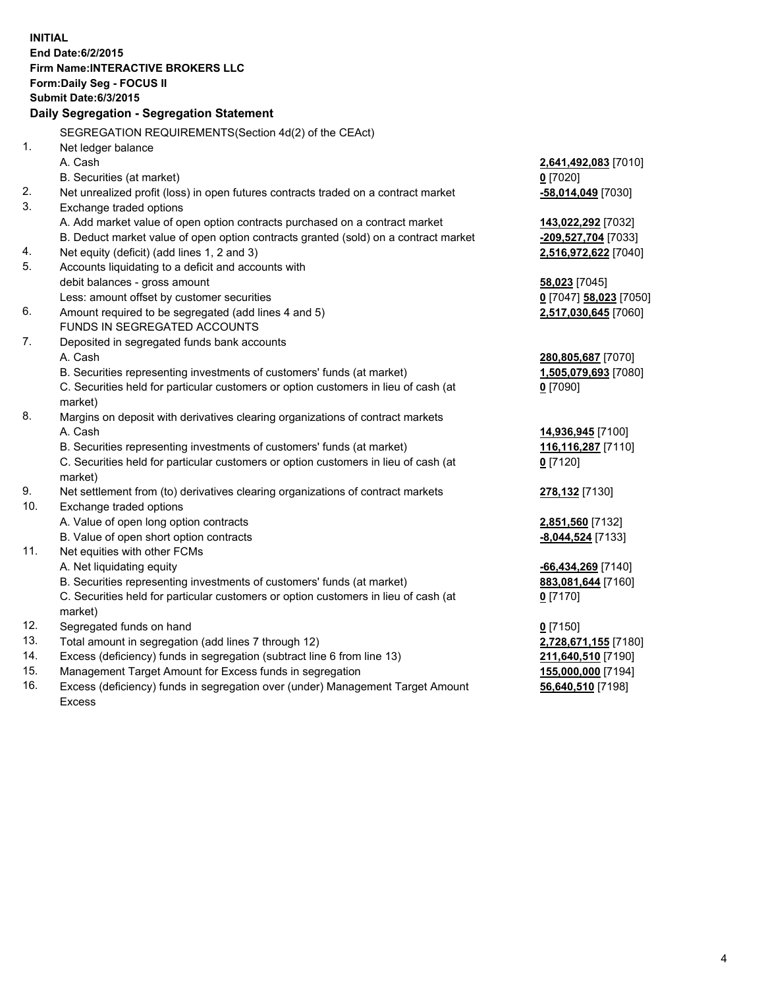**INITIAL End Date:6/2/2015 Firm Name:INTERACTIVE BROKERS LLC Form:Daily Seg - FOCUS II Submit Date:6/3/2015 Daily Segregation - Segregation Statement** SEGREGATION REQUIREMENTS(Section 4d(2) of the CEAct) 1. Net ledger balance A. Cash **2,641,492,083** [7010] B. Securities (at market) **0** [7020] 2. Net unrealized profit (loss) in open futures contracts traded on a contract market **-58,014,049** [7030] 3. Exchange traded options A. Add market value of open option contracts purchased on a contract market **143,022,292** [7032] B. Deduct market value of open option contracts granted (sold) on a contract market **-209,527,704** [7033] 4. Net equity (deficit) (add lines 1, 2 and 3) **2,516,972,622** [7040] 5. Accounts liquidating to a deficit and accounts with debit balances - gross amount **58,023** [7045] Less: amount offset by customer securities **0** [7047] **58,023** [7050] 6. Amount required to be segregated (add lines 4 and 5) **2,517,030,645** [7060] FUNDS IN SEGREGATED ACCOUNTS 7. Deposited in segregated funds bank accounts A. Cash **280,805,687** [7070] B. Securities representing investments of customers' funds (at market) **1,505,079,693** [7080] C. Securities held for particular customers or option customers in lieu of cash (at market) **0** [7090] 8. Margins on deposit with derivatives clearing organizations of contract markets A. Cash **14,936,945** [7100] B. Securities representing investments of customers' funds (at market) **116,116,287** [7110] C. Securities held for particular customers or option customers in lieu of cash (at market) **0** [7120] 9. Net settlement from (to) derivatives clearing organizations of contract markets **278,132** [7130] 10. Exchange traded options A. Value of open long option contracts **2,851,560** [7132] B. Value of open short option contracts **-8,044,524** [7133] 11. Net equities with other FCMs A. Net liquidating equity **-66,434,269** [7140] B. Securities representing investments of customers' funds (at market) **883,081,644** [7160] C. Securities held for particular customers or option customers in lieu of cash (at market) **0** [7170] 12. Segregated funds on hand **0** [7150] 13. Total amount in segregation (add lines 7 through 12) **2,728,671,155** [7180] 14. Excess (deficiency) funds in segregation (subtract line 6 from line 13) **211,640,510** [7190] 15. Management Target Amount for Excess funds in segregation **155,000,000** [7194]

16. Excess (deficiency) funds in segregation over (under) Management Target Amount Excess

**56,640,510** [7198]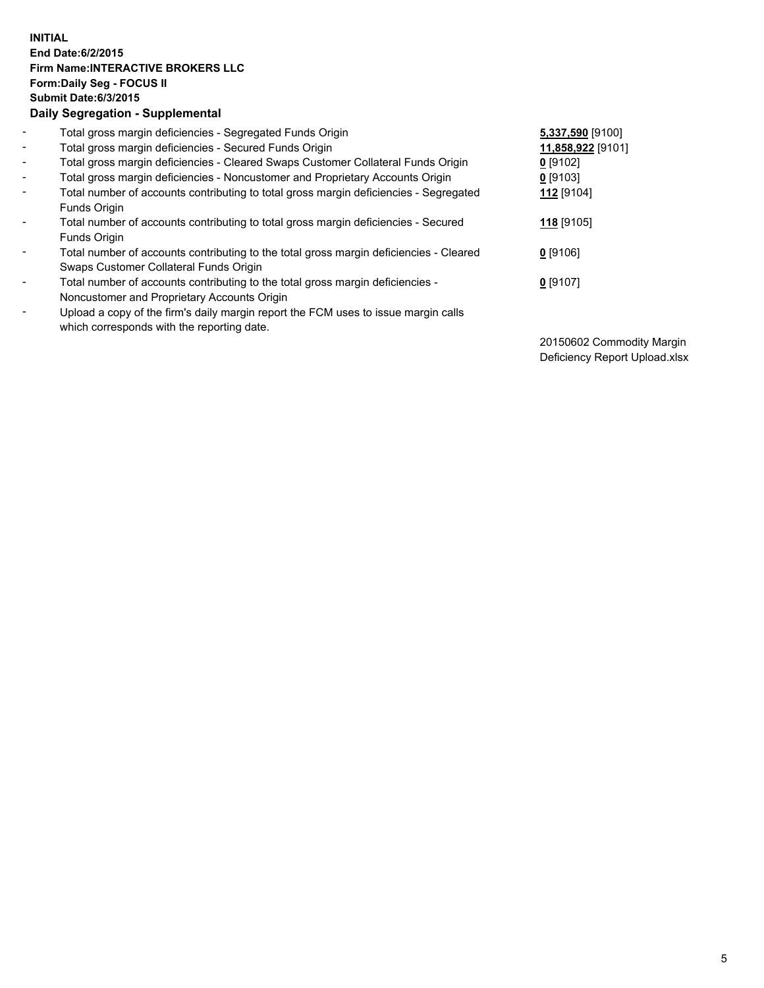## **INITIAL End Date:6/2/2015 Firm Name:INTERACTIVE BROKERS LLC Form:Daily Seg - FOCUS II Submit Date:6/3/2015 Daily Segregation - Supplemental**

| $\overline{\phantom{a}}$ | Total gross margin deficiencies - Segregated Funds Origin                                                                        | 5,337,590 [9100]  |
|--------------------------|----------------------------------------------------------------------------------------------------------------------------------|-------------------|
| $\overline{\phantom{a}}$ | Total gross margin deficiencies - Secured Funds Origin                                                                           | 11,858,922 [9101] |
| $\overline{\phantom{a}}$ | Total gross margin deficiencies - Cleared Swaps Customer Collateral Funds Origin                                                 | $0$ [9102]        |
| $\overline{\phantom{a}}$ | Total gross margin deficiencies - Noncustomer and Proprietary Accounts Origin                                                    | 0 [9103]          |
| $\overline{\phantom{a}}$ | Total number of accounts contributing to total gross margin deficiencies - Segregated<br>Funds Origin                            | 112 [9104]        |
| $\overline{\phantom{a}}$ | Total number of accounts contributing to total gross margin deficiencies - Secured<br>Funds Origin                               | 118 [9105]        |
| $\overline{\phantom{a}}$ | Total number of accounts contributing to the total gross margin deficiencies - Cleared<br>Swaps Customer Collateral Funds Origin | $0$ [9106]        |
| $\blacksquare$           | Total number of accounts contributing to the total gross margin deficiencies -<br>Noncustomer and Proprietary Accounts Origin    | $0$ [9107]        |
| $\overline{\phantom{a}}$ | Upload a copy of the firm's daily margin report the FCM uses to issue margin calls<br>which corresponds with the reporting date. |                   |

20150602 Commodity Margin Deficiency Report Upload.xlsx